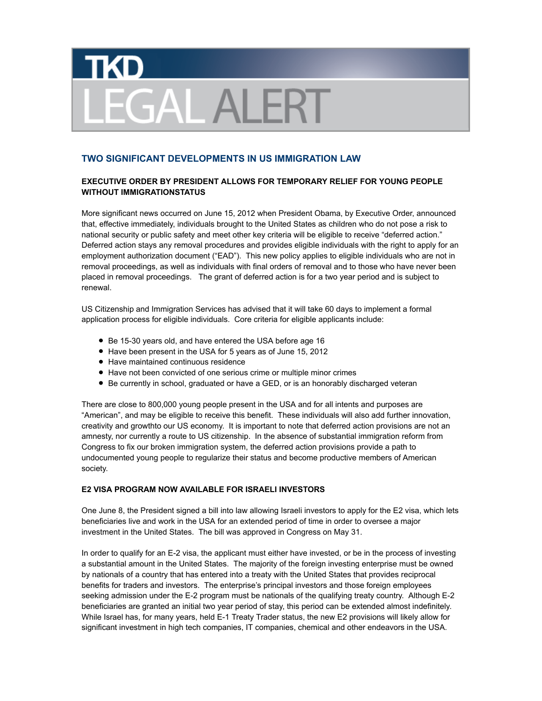## **TKD FGAL ALER**

## **TWO SIGNIFICANT DEVELOPMENTS IN US IMMIGRATION LAW**

## **EXECUTIVE ORDER BY PRESIDENT ALLOWS FOR TEMPORARY RELIEF FOR YOUNG PEOPLE WITHOUT IMMIGRATIONSTATUS**

More significant news occurred on June 15, 2012 when President Obama, by Executive Order, announced that, effective immediately, individuals brought to the United States as children who do not pose a risk to national security or public safety and meet other key criteria will be eligible to receive "deferred action." Deferred action stays any removal procedures and provides eligible individuals with the right to apply for an employment authorization document ("EAD"). This new policy applies to eligible individuals who are not in removal proceedings, as well as individuals with final orders of removal and to those who have never been placed in removal proceedings. The grant of deferred action is for a two year period and is subject to renewal.

US Citizenship and Immigration Services has advised that it will take 60 days to implement a formal application process for eligible individuals. Core criteria for eligible applicants include:

- Be 15-30 years old, and have entered the USA before age 16
- Have been present in the USA for 5 years as of June 15, 2012
- Have maintained continuous residence
- Have not been convicted of one serious crime or multiple minor crimes
- **•** Be currently in school, graduated or have a GED, or is an honorably discharged veteran

There are close to 800,000 young people present in the USA and for all intents and purposes are "American", and may be eligible to receive this benefit. These individuals will also add further innovation, creativity and growthto our US economy. It is important to note that deferred action provisions are not an amnesty, nor currently a route to US citizenship. In the absence of substantial immigration reform from Congress to fix our broken immigration system, the deferred action provisions provide a path to undocumented young people to regularize their status and become productive members of American society.

## **E2 VISA PROGRAM NOW AVAILABLE FOR ISRAELI INVESTORS**

One June 8, the President signed a bill into law allowing Israeli investors to apply for the E2 visa, which lets beneficiaries live and work in the USA for an extended period of time in order to oversee a major investment in the United States. The bill was approved in Congress on May 31.

In order to qualify for an E-2 visa, the applicant must either have invested, or be in the process of investing a substantial amount in the United States. The majority of the foreign investing enterprise must be owned by nationals of a country that has entered into a treaty with the United States that provides reciprocal benefits for traders and investors. The enterprise's principal investors and those foreign employees seeking admission under the E-2 program must be nationals of the qualifying treaty country. Although E-2 beneficiaries are granted an initial two year period of stay, this period can be extended almost indefinitely. While Israel has, for many years, held E-1 Treaty Trader status, the new E2 provisions will likely allow for significant investment in high tech companies, IT companies, chemical and other endeavors in the USA.